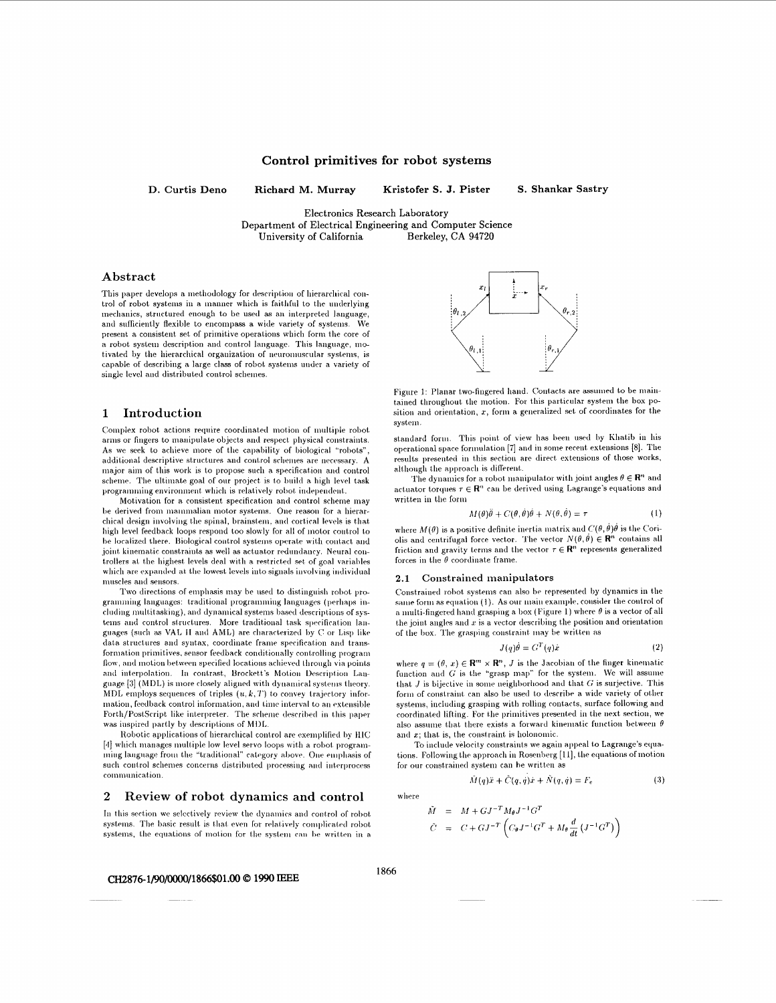Control primitives for robot systems

D. Curtis Deno

Richard M. Murray

Kristofer S. J. Pister

S. Shankar Sastry

Electronics Research Laboratory Department of Electrical Engineering and Computer Science Berkeley, CA 94720 University of California

## Abstract

This paper develops a methodology for description of hierarchical control of robot systems in a manner which is faithful to the underlying mechanics, structured enough to be used as an interpreted language, and sufficiently flexible to encompass a wide variety of systems. We present a consistent set of primitive operations which form the core of a robot system description and control language. This language, motivated by the hierarchical organization of neuromuscular systems, is capable of describing a large class of robot systems under a variety of single level and distributed control schemes.

# 1 Introduction

Complex robot actions require coordinated motion of multiple robot arms or fingers to manipulate objects and respect physical constraints. As we seek to achieve more of the capability of biological "robots", additional descriptive structures and control schemes are necessary. A major aim of this work is to propose such a specification and control scheme. The ultimate goal of our project is to build a high level task programming environment which is relatively robot independent.

Motivation for a consistent specification and control scheme may be derived from mammalian motor systems. One reason for a hierarchical design involving the spinal, brainstem, and cortical levels is that high level feedback loops respond too slowly for all of motor control to be localized there. Biological control systems operate with contact and joint kinematic constraints as well as actuator redundancy. Neural controllers at the highest levels deal with a restricted set of goal variables which are expanded at the lowest levels into signals involving individual muscles and sensors.

Two directions of emphasis may be used to distinguish robot programming languages: traditional programming languages (perhaps including multitasking), and dynamical systems based descriptions of systems and control structures. More traditional task specification languages (such as VAL II and AML) are characterized by C or Lisp like data structures and syntax, coordinate frame specification and transformation primitives, sensor feedback conditionally controlling program flow, and motion between specified locations achieved through via points and interpolation. In contrast, Brockett's Motion Description Language [3] (MDL) is more closely aligned with dynamical systems theory. MDL employs sequences of triples  $(u, k, T)$  to convey trajectory information, feedback control information, and time interval to an extensible Forth/PostScript like interpreter. The scheme described in this paper was inspired partly by descriptions of MDL.

Robotic applications of hierarchical control are exemplified by HIC [4] which manages multiple low level servo loops with a robot programming language from the "traditional" category above. One emphasis of such control schemes concerns distributed processing and interprocess communication

# 2 Review of robot dynamics and control

In this section we selectively review the dynamics and control of robot systems. The basic result is that even for relatively complicated robot systems, the equations of motion for the system can be written in a



Figure 1: Planar two-fingered hand. Contacts are assumed to be maintained throughout the motion. For this particular system the box position and orientation,  $x$ , form a generalized set of coordinates for the system.

standard form. This point of view has been used by Khatib in his operational space formulation [7] and in some recent extensions [8]. The results presented in this section are direct extensions of those works, although the approach is different.

The dynamics for a robot manipulator with joint angles  $\theta \in \mathbf{R}^n$  and actuator torques  $\tau \in \mathbb{R}^n$  can be derived using Lagrange's equations and written in the form

$$
M(\theta)\ddot{\theta} + C(\theta,\dot{\theta})\dot{\theta} + N(\theta,\dot{\theta}) = \tau \tag{1}
$$

where  $M(\theta)$  is a positive definite inertia matrix and  $C(\theta, \dot{\theta})\dot{\theta}$  is the Coriolis and centrifugal force vector. The vector  $N(\theta, \dot{\theta}) \in \mathbb{R}^n$  contains all friction and gravity terms and the vector  $\tau \in \mathbb{R}^n$  represents generalized forces in the  $\theta$  coordinate frame.

#### 2.1 Constrained manipulators

Constrained robot systems can also be represented by dynamics in the same form as equation (1). As our main example, consider the control of a multi-fingered hand grasping a box (Figure 1) where  $\theta$  is a vector of all the joint angles and  $x$  is a vector describing the position and orientation of the box. The grasping constraint may be written as

$$
J(q)\dot{\theta} = G^T(q)\dot{x} \tag{2}
$$

where  $q = (\theta, x) \in \mathbb{R}^m \times \mathbb{R}^n$ , *J* is the Jacobian of the finger kinematic function and  $G$  is the "grasp map" for the system. We will assume that  $J$  is bijective in some neighborhood and that  $G$  is surjective. This form of constraint can also be used to describe a wide variety of other systems, including grasping with rolling contacts, surface following and coordinated lifting. For the primitives presented in the next section, we also assume that there exists a forward kinematic function between  $\theta$ and  $x$ ; that is, the constraint is holonomic.

To include velocity constraints we again appeal to Lagrange's equations. Following the approach in Rosenberg [11], the equations of motion for our constrained system can be written as

$$
\tilde{M}(q)\ddot{x} + \tilde{C}(q,\dot{q})\dot{x} + \tilde{N}(q,\dot{q}) = F_e \tag{3}
$$

$$
\begin{array}{rcl}\n\tilde{M} & = & M + GJ^{-T}M_{\theta}J^{-1}G^{T} \\
\tilde{C} & = & C + GJ^{-T}\left(C_{\theta}J^{-1}G^{T} + M_{\theta}\frac{d}{dt}\left(J^{-1}G^{T}\right)\right)\n\end{array}
$$

CH2876-1/90/0000/1866\$01.00 © 1990 IEEE

1866

where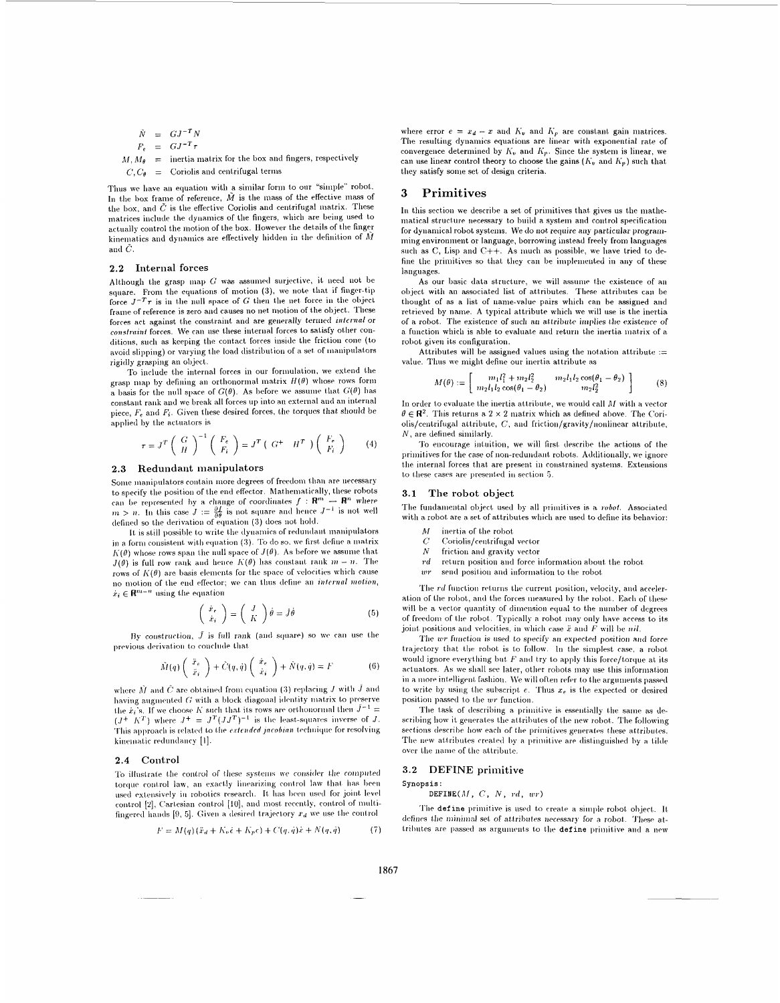$$
\tilde{N} = GJ^{-T}N
$$

$$
F_{\gamma} = GJ^{-T}
$$

 $M, M_{\theta}$  = inertia matrix for the box and fingers, respectively  $C, C_{\theta} =$  Coriolis and centrifugal terms

Thus we have an equation with a similar form to our "simple" robot. In the box frame of reference,  $\tilde{M}$  is the mass of the effective mass of the box, and  $\tilde{C}$  is the effective Coriolis and centrifugal matrix. These matrices include the dynamics of the fingers, which are being used to actually control the motion of the box. However the details of the finger kinematics and dynamics are effectively hidden in the definition of  $\tilde{M}$ and  $\tilde{C}$ 

## 2.2 Internal forces

Although the grasp map  $G$  was assumed surjective, it need not be square. From the equations of motion (3), we note that if finger-tip force  $J^{-T}r$  is in the null space of G then the net force in the object frame of reference is zero and causes no net motion of the object. These forces act against the constraint and are generally termed internal or constraint forces. We can use these internal forces to satisfy other conditions, such as keeping the contact forces inside the friction cone (to avoid slipping) or varying the load distribution of a set of manipulators rigidly grasping an object.

To include the internal forces in our formulation, we extend the grasp map by defining an orthonormal matrix  $H(\theta)$  whose rows form a basis for the null space of  $G(\theta)$ . As before we assume that  $G(\theta)$  has constant rank and we break all forces up into an external and an internal piece,  $F_e$  and  $F_i$ . Given these desired forces, the torques that should be applied by the actuators is

$$
\tau = J^T \left( \begin{array}{c} G \\ H \end{array} \right)^{-1} \left( \begin{array}{c} F_e \\ F_i \end{array} \right) = J^T \left( \begin{array}{ccc} G^+ & H^T \end{array} \right) \left( \begin{array}{c} F_e \\ F_i \end{array} \right) \tag{4}
$$

#### Redundant manipulators  $2.3$

Some manipulators contain more degrees of freedom than are necessary to specify the position of the end effector. Mathematically, these robots can be represented by a change of coordinates  $f : \mathbf{R}^m$  $\rightarrow \mathbb{R}^n$  where  $m > n$ . In this case  $J := \frac{\partial f}{\partial \theta}$  is not square and hence  $J^{-1}$  is not well defined so the derivation of equation  $(3)$  does not hold.

It is still possible to write the dynamics of redundant manipulators in a form consistent with equation (3). To do so, we first define a matrix  $K(\theta)$  whose rows span the null space of  $J(\theta)$ . As before we assume that  $J(\theta)$  is full row rank and hence  $K(\theta)$  has constant rank  $m-n$ . The rows of  $K(\theta)$  are basis elements for the space of velocities which cause no motion of the end effector; we can thus define an internal motion,  $x_i \in \mathbb{R}^{m-n}$  using the equation

$$
\begin{pmatrix} \dot{x}_e \\ \dot{x}_i \end{pmatrix} = \begin{pmatrix} J \\ K \end{pmatrix} \dot{\theta} = \dot{J}\dot{\theta}
$$
 (5)

By construction,  $\tilde{J}$  is full rank (and square) so we can use the previous derivation to conclude that

$$
\tilde{M}(q) \left( \begin{array}{c} \ddot{x}_e \\ \ddot{x}_i \end{array} \right) + \tilde{C}(q, \dot{q}) \left( \begin{array}{c} \dot{x}_e \\ \dot{x}_i \end{array} \right) + \tilde{N}(q, \dot{q}) = F \tag{6}
$$

where  $\tilde{M}$  and  $\tilde{C}$  are obtained from equation (3) replacing J with  $\tilde{J}$  and having augmented  $G$  with a block diagonal identity matrix to preserve the  $x_i$ 's. If we choose K such that its rows are orthonormal then  $\bar{J}^{-1}$  =  $(J^+ K^T)$  where  $J^+ = J^T (JJ^T)^{-1}$  is the least-squares inverse of J. This approach is related to the extended jacobian technique for resolving kinematic redundancy [1].

## 2.4 Control

To illustrate the control of these systems we consider the computed torque control law, an exactly linearizing control law that has been used extensively in robotics research. It has been used for joint level control [2], Cartesian control [10], and most recently, control of multifingered hands [9, 5]. Given a desired trajectory  $x_d$  we use the control

$$
F = M(q) (\ddot{x}_d + K_v \dot{e} + K_p \dot{e}) + C(q, \dot{q}) \dot{x} + N(q, \dot{q})
$$
(7)

where error  $e = x_d - x$  and  $K_v$  and  $K_p$  are constant gain matrices. The resulting dynamics equations are linear with exponential rate of convergence determined by  $K_v$  and  $K_v$ . Since the system is linear, we can use linear control theory to choose the gains  $(K_v$  and  $K_v$ ) such that they satisfy some set of design criteria.

#### 3 **Primitives**

In this section we describe a set of primitives that gives us the mathematical structure necessary to build a system and control specification for dynamical robot systems. We do not require any particular programming environment or language, borrowing instead freely from languages such as C, Lisp and C++. As much as possible, we have tried to define the primitives so that they can be implemented in any of these languages.

As our basic data structure, we will assume the existence of an object with an associated list of attributes. These attributes can be thought of as a list of name-value pairs which can be assigned and retrieved by name. A typical attribute which we will use is the inertia of a robot. The existence of such an attribute implies the existence of a function which is able to evaluate and return the inertia matrix of a robot given its configuration.

Attributes will be assigned values using the notation attribute  $:=$ value. Thus we might define our inertia attribute as

$$
M(\theta) := \left[ \begin{array}{cc} m_1 l_1^2 + m_2 l_2^2 & m_2 l_1 l_2 \cos(\theta_1 - \theta_2) \\ m_2 l_1 l_2 \cos(\theta_1 - \theta_2) & m_2 l_2^2 \end{array} \right] \eqno(8)
$$

In order to evaluate the inertia attribute, we would call M with a vector  $\theta \in \mathbb{R}^2$ . This returns a 2 × 2 matrix which as defined above. The Coriolis/centrifugal attribute,  $C$ , and friction/gravity/nonlinear attribute,  $N$ , are defined similarly.

To encourage intuition, we will first describe the actions of the primitives for the case of non-redundant robots. Additionally, we ignore the internal forces that are present in constrained systems. Extensions to these cases are presented in section 5.

## 3.1 The robot object

The fundamental object used by all primitives is a robot. Associated with a robot are a set of attributes which are used to define its behavior:

- $\overline{M}$ inertia of the robot
- Coriolis/centrifugal vector  $\overline{C}$
- $\overline{N}$ friction and gravity vector
- $rd$ return position and force information about the robot
- $\overline{w}$ send position and information to the robot

The rd function returns the current position, velocity, and acceleration of the robot, and the forces measured by the robot. Each of these will be a vector quantity of dimension equal to the number of degrees of freedom of the robot. Typically a robot may only have access to its joint positions and velocities, in which case  $\ddot{x}$  and  $F$  will be  $nil.$ 

The wr function is used to specify an expected position and force trajectory that the robot is to follow. In the simplest case, a robot would ignore everything but  $F$  and try to apply this force/torque at its actuators. As we shall see later, other robots may use this information in a more intelligent fashion. We will often refer to the arguments passed to write by using the subscript  $e$ . Thus  $x_e$  is the expected or desired position passed to the wr function.

The task of describing a primitive is essentially the same as describing how it generates the attributes of the new robot. The following sections describe how each of the primitives generates these attributes. The new attributes created by a primitive are distinguished by a tilde over the name of the attribute

#### 3.2 DEFINE primitive

Synopsis:

DEFINE(M,  $C$ ,  $N$ ,  $rd$ ,  $wr$ )

The define primitive is used to create a simple robot object. It defines the minimal set of attributes necessary for a robot. These attributes are passed as arguments to the define primitive and a new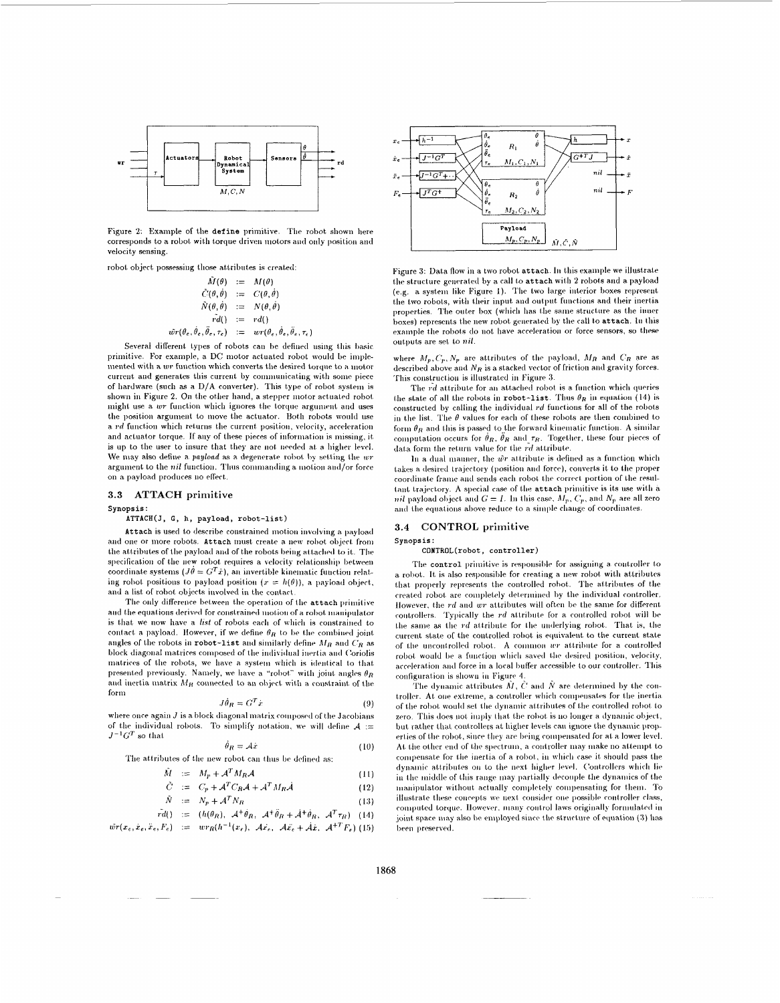

Figure 2: Example of the define primitive. The robot shown here corresponds to a robot with torque driven motors and only position and velocity sensing.

robot object possessing those attributes is created:

$$
\begin{array}{rcl}\n\tilde{M}(\theta) & := & M(\theta) \\
\tilde{C}(\theta, \dot{\theta}) & := & C(\theta, \dot{\theta}) \\
\tilde{N}(\theta, \dot{\theta}) & := & N(\theta, \dot{\theta}) \\
\tilde{r}d(1) & := & r d(1) \\
\tilde{v}r(\theta_e, \dot{\theta}_e, \ddot{\theta}_e, \tau_e) & := & wr(\theta_e, \dot{\theta}_e, \ddot{\theta}_e, \tau_e)\n\end{array}
$$

Several different types of robots can be defined using this basic primitive. For example, a DC motor actuated robot would be implemented with a wr function which converts the desired torque to a motor current and generates this current by communicating with some piece of hardware (such as a D/A converter). This type of robot system is shown in Figure 2. On the other hand, a stepper motor actuated robot might use a  $wr$  function which ignores the torque argument and uses the position argument to move the actuator. Both robots would use a  $rd$  function which returns the current position, velocity, acceleration and actuator torque. If any of these pieces of information is missing, it is up to the user to insure that they are not needed at a higher level. We may also define a payload as a degenerate robot by setting the wr argument to the nil function. Thus commanding a motion and/or force on a payload produces no effect.

## 3.3 ATTACH primitive

Synopsis:

## ATTACH(J, G, h, payload, robot-list)

Attach is used to describe constrained motion involving a payload and one or more robots. Attach must create a new robot object from the attributes of the payload and of the robots being attached to it. The specification of the new robot requires a velocity relationship between coordinate systems  $(J\dot{\theta} = G^T \dot{x})$ , an invertible kinematic function relating robot positions to payload position  $(x = h(\theta))$ , a payload object, and a list of robot objects involved in the contact

The only difference between the operation of the attach primitive and the equations derived for constrained motion of a robot manipulator is that we now have a *list* of robots each of which is constrained to contact a payload. However, if we define  $\theta_R$  to be the combined joint angles of the robots in robot-list and similarly define  $M_R$  and  $C_R$  as block diagonal matrices composed of the individual inertia and Coriolis matrices of the robots, we have a system which is identical to that presented previously. Namely, we have a "robot" with joint angles  $\theta_R$ and inertia matrix  $M_R$  connected to an object with a constraint of the form

$$
J\dot{\theta}_R = G^T \dot{x} \tag{9}
$$

where once again  $J$  is a block diagonal matrix composed of the Jacobians of the individual robots. To simplify notation, we will define  $A :=$  $J^{-1}{\cal G}^T$  so that

$$
\dot{\theta}_R = A\dot{x} \tag{10}
$$

The attributes of the new robot can thus be defined as:

$$
\hat{M} \quad := \quad M_p + \mathcal{A}^T M_R \mathcal{A} \tag{11}
$$

$$
C := C_p + A^T C_R A + A^T M_R A \qquad (12)
$$

$$
\bar{N} \quad := \quad N_p + \mathcal{A}^T N_R \tag{13}
$$

$$
rd() := (h(\theta_R), \mathcal{A}^{\top}\theta_R, \mathcal{A}^{\top}\theta_R + \mathcal{A}^{\top}\theta_R, \mathcal{A}^{\top}\tau_R) \tag{14}
$$
\n
$$
\tilde{w}^{\top}(x_e, \dot{x}_e, \ddot{x}_e, F_e) := w^{\top}g(h^{-1}(x_e), \mathcal{A}\dot{x}_e, \mathcal{A}\ddot{x}_e + \dot{\mathcal{A}}\dot{x}, \mathcal{A}^{+T}F_e) \tag{15}
$$



Figure 3: Data flow in a two robot attach. In this example we illustrate the structure generated by a call to attach with 2 robots and a payload (e.g. a system like Figure 1). The two large interior boxes represent the two robots, with their input and output functions and their inertia properties. The outer box (which has the same structure as the inner boxes) represents the new robot generated by the call to attach. In this example the robots do not have acceleration or force sensors, so these outputs are set to nil.

where  $M_p, C_p, N_p$  are attributes of the payload,  $M_R$  and  $C_R$  are as described above and  $N_R$  is a stacked vector of friction and gravity forces. This construction is illustrated in Figure 3.

The rd attribute for an attached robot is a function which queries the state of all the robots in robot-list. Thus  $\theta_R$  in equation (14) is constructed by calling the individual rd functions for all of the robots in the list. The  $\theta$  values for each of these robots are then combined to form  $\theta_R$  and this is passed to the forward kinematic function. A similar computation occurs for  $\hat{\theta}_R$ ,  $\hat{\theta}_R$  and  $\tau_R$ . Together, these four pieces of data form the return value for the rd attribute.

In a dual manner, the  $\hat{w}r$  attribute is defined as a function which takes a desired trajectory (position and force), converts it to the proper coordinate frame and sends each robot the correct portion of the resultant trajectory. A special case of the attach primitive is its use with a *nil* payload object and  $G = I$ . In this case,  $M_p$ ,  $C_p$ , and  $N_p$  are all zero and the equations above reduce to a simple change of coordinates.

## 3.4 CONTROL primitive

#### Synopsis: CONTROL(robot, controller)

The control primitive is responsible for assigning a controller to a robot. It is also responsible for creating a new robot with attributes that properly represents the controlled robot. The attributes of the created robot are completely determined by the individual controller. However, the rd and wr attributes will often be the same for different controllers. Typically the rd attribute for a controlled robot will be the same as the rd attribute for the underlying robot. That is, the current state of the controlled robot is equivalent to the current state of the uncontrolled robot. A common wr attribute for a controlled robot would be a function which saved the desired position, velocity, acceleration and force in a local buffer accessible to our controller. This configuration is shown in Figure 4.

The dynamic attributes  $\tilde{M}$ ,  $\tilde{C}$  and  $\tilde{N}$  are determined by the controller. At one extreme, a controller which compensates for the inertia of the robot would set the dynamic attributes of the controlled robot to zero. This does not imply that the robot is no longer a dynamic object, but rather that controllers at higher levels can ignore the dynamic properties of the robot, since they are being compensated for at a lower level. At the other end of the spectrum, a controller may make no attempt to compensate for the inertia of a robot, in which case it should pass the dynamic attributes on to the next higher level. Controllers which lie in the middle of this range may partially decouple the dynamics of the manipulator without actually completely compensating for them. To illustrate these concepts we next consider one possible controller class, computed torque. However, many control laws originally formulated in joint space may also be employed since the structure of equation (3) has been preserved.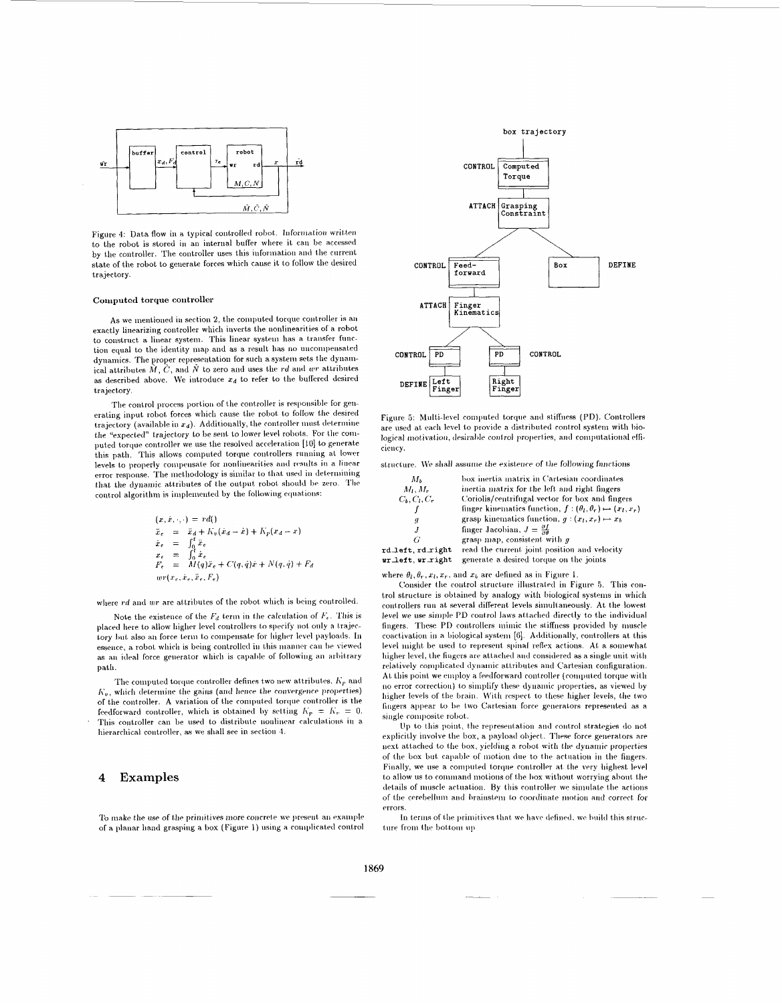

Figure 4: Data flow in a typical controlled robot. Information written to the robot is stored in an internal buffer where it can be accessed by the controller. The controller uses this information and the current state of the robot to generate forces which cause it to follow the desired trajectory

#### Computed torque controller

As we mentioned in section 2, the computed torque controller is an exactly linearizing controller which inverts the nonlinearities of a robot to construct a linear system. This linear system has a transfer function equal to the identity map and as a result has no uncompensated dynamics. The proper representation for such a system sets the dynamical attributes  $\tilde{M}$ ,  $\tilde{C}$ , and  $\tilde{N}$  to zero and uses the rd and wr attributes as described above. We introduce  $x_d$  to refer to the buffered desired trajectory.

The control process portion of the controller is responsible for generating input robot forces which cause the robot to follow the desired trajectory (available in  $x_d$ ). Additionally, the controller must determine the "expected" trajectory to be sent to lower level robots. For the computed torque controller we use the resolved acceleration [10] to generate this path. This allows computed torque controllers running at lower levels to properly compensate for nonlinearities and results in a linear error response. The methodology is similar to that used in determining that the dynamic attributes of the output robot should be zero. The control algorithm is implemented by the following equations:

$$
(x, \dot{x}, \cdot, \cdot) = rd()
$$
  
\n
$$
\ddot{x}_e = \ddot{x}_d + K_v(\dot{x}_d - \dot{x}) + K_p(x_d - x)
$$
  
\n
$$
\dot{x}_e = \int_0^t \ddot{x}_e
$$
  
\n
$$
x_e = \int_0^t \dot{x}_e
$$
  
\n
$$
F_e = M(q)\ddot{x}_e + C(q, \dot{q})\dot{x} + N(q, \dot{q}) + F_d
$$
  
\n
$$
wr(x_e, \dot{x}_e, \ddot{x}_e, F_e)
$$

where  $rd$  and  $wr$  are attributes of the robot which is being controlled.

Note the existence of the  $F_d$  term in the calculation of  $F_e$ . This is placed here to allow higher level controllers to specify not only a trajectory but also an force term to compensate for higher level payloads. In essence, a robot which is being controlled in this manner can be viewed as an ideal force generator which is capable of following an arbitrary path.

The computed torque controller defines two new attributes,  $K_p$  and  $K_v$ , which determine the gains (and hence the convergence properties) of the controller. A variation of the computed torque controller is the feedforward controller, which is obtained by setting  $K_p = K_v = 0$ . This controller can be used to distribute nonlinear calculations in a hierarchical controller, as we shall see in section 4.

#### **Examples**  $\overline{\mathbf{4}}$

To make the use of the primitives more concrete we present an example of a planar hand grasping a box (Figure 1) using a complicated control



Figure 5: Multi-level computed torque and stiffness (PD). Controllers are used at each level to provide a distributed control system with biological motivation, desirable control properties, and computational efficiency

structure. We shall assume the existence of the following functions

| Мĸ               | box inertia matrix in Cartesian coordinates                          |
|------------------|----------------------------------------------------------------------|
|                  |                                                                      |
| $M_I, M_r$       | inertia matrix for the left and right fingers                        |
| $C_b, C_l, C_r$  | Coriolis/centrifugal vector for box and fingers                      |
|                  | finger kinematics function, $f:(\theta_l,\theta_r)\mapsto (x_l,x_r)$ |
| g                | grasp kinematics function, $g:(x_1, x_2) \mapsto x_b$                |
| J                | finger Jacobian, $J = \frac{\partial f}{\partial q}$                 |
| G                | grasp map, consistent with $q$                                       |
| rd_left.rd_right | read the current joint position and velocity                         |
| ur laft ur richt | generate a desired toroue on the joints                              |

where  $\theta_l, \theta_r, x_l, x_r$ , and  $x_b$  are defined as in Figure 1.

Consider the control structure illustrated in Figure 5. This control structure is obtained by analogy with biological systems in which controllers run at several different levels simultaneously. At the lowest level we use simple PD control laws attached directly to the individual fingers. These PD controllers mimic the stiffness provided by muscle coactivation in a biological system [6]. Additionally, controllers at this level might be used to represent spinal reflex actions. At a somewhat higher level, the fingers are attached and considered as a single unit with relatively complicated dynamic attributes and Cartesian configuration. At this point we employ a feedforward controller (computed torque with no error correction) to simplify these dynamic properties, as viewed by higher levels of the brain. With respect to these higher levels, the two fingers appear to be two Cartesian force generators represented as a single composite robot.

Up to this point, the representation and control strategies do not explicitly involve the box, a payload object. These force generators are next attached to the box, yielding a robot with the dynamic properties of the box but capable of motion due to the actuation in the fingers. Finally, we use a computed torque controller at the very highest level to allow us to command motions of the box without worrying about the details of muscle actuation. By this controller we simulate the actions of the cerebellum and brainstem to coordinate motion and correct for errors

In terms of the primitives that we have defined, we build this structure from the bottom up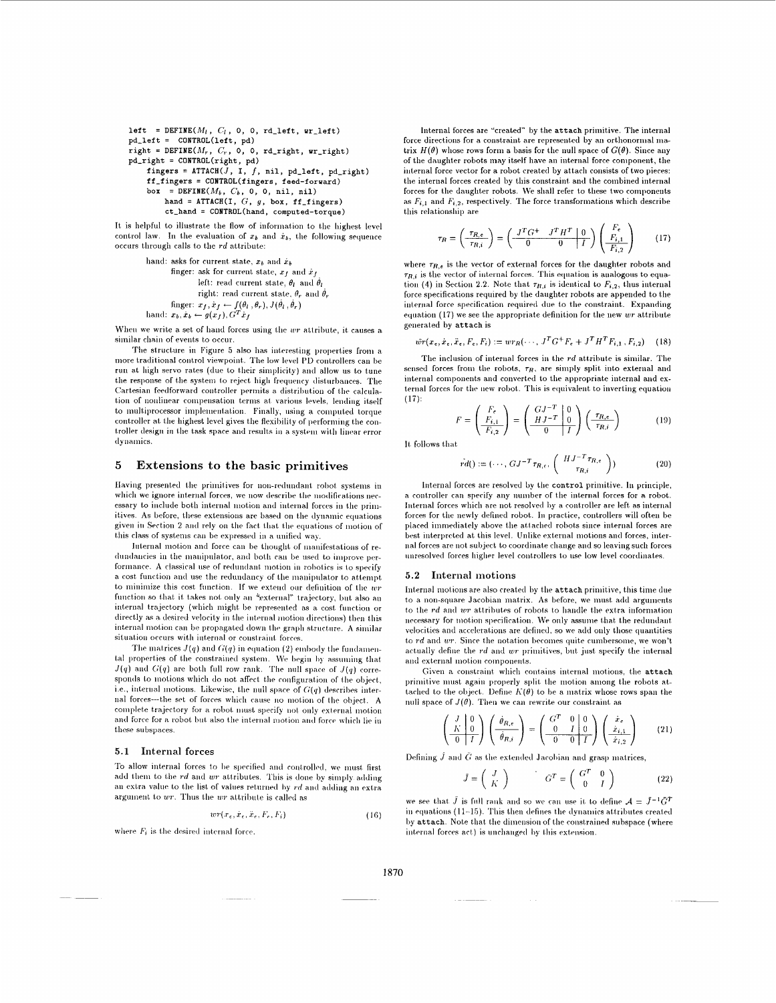```
left = DEFINE(M_l, C_l, 0, 0, rd\_left, wr\_left)pd-left = CONTROL(left, pd) 
r = right = DEFINE(M_r, C_r, 0, 0, rd_right, wr_right)
pd-right = CONTROL(right , pd) 
     fingers = \text{ATTACH}(\bar{J}, I, \bar{f}, \text{nil}, \text{pd\_left}, \text{pd\_right})ff-fingers = CONTROL(fingers, feed-forward) 
     \begin{bmatrix} \n\text{box} & = \text{DEFINE}(M_b, C_b, 0, 0, \text{nil}, \text{nil})\n\end{bmatrix}hand = ATTACHCI, G, y, box, ff-fingers) 
          ct-hand = CONTROL(hand, computed-torque)
```
It is helpful to illustrate the flow of information to the highest level control law. In the evaluation of  $x_b$  and  $\dot{x}_b$ , the following sequence occurs through calls to the *rd* attribute:

> **hand:** asks for current state,  $x_b$  and  $\dot{x}_b$ finger: ask for current state,  $x_f$  and  $\dot{x}_f$ left: read current state,  $\theta_l$  and  $\dot{\theta}_l$ right: read current state,  $\theta_r$  and  $\dot{\theta}_r$ <br>finger:  $x_f, \dot{x}_f \leftarrow f(\theta_l, \theta_r), J(\dot{\theta}_l, \dot{\theta}_r)$ hand:  $x_b$ ,  $\dot{x}_b \leftarrow g(x_f)$ ,  $G^T \dot{x}_f$

When we write a set of hand forces using the wr attribute, it causes a similar chain of events to occur.

The structure in Figure 5 also has interesting properties from a more traditional control viewpoint. The low level PD controllers can be run at high servo rates (due to their simplicity) and allow us to tune the response of the system to reject high frequency disturbances. The Cartesian feedforward controller permits a distribution of the calculation of nonlinear compensation terms at various levels, lending itself to multiprocessor implementation. Finally, using a computed torque controller at the highest level gives the flexibility of performing the controller design in the task space and results in a system with linear error **tl** y **ii** ainics.

## *5* **Extensions to the basic primitives**

Having presented the primitives for non-redundant robot systems in which we ignore internal forces, we now describe the modifications necessary to include both internal motion and internal forces in the primitives. As before, these extensions are based on the dynamic equations given in Section 2 and rely on the fact that the equations of motion of this class of systems can be expressed in a unified way.

Internal motion and force can be thought of manifestations of redundancies in the manipulator, and both can be used to improve performance. A classical use of redundant motion in robotics is to specify a cost function and use the redundancy of the manipulator to attempt to minimize this cost function. If we extend our definition of the *ur* function so that it takes not only an "external" trajectory, but also an internal trajectory (which might be represented as a cost function or directly as a desired velocity in the internal motion directions) then this internal motion can be propagated down the graph structure. A similar situation occurs with internal or constraint forces.

The matrices  $J(q)$  and  $G(q)$  in equation (2) embody the fundamental properties of the constrained system. We begin by assuming that  $J(q)$  and  $G(q)$  are both full row rank. The null space of  $J(q)$  corresponds to motions which do not affect the configuration of the object, i.e., internal motions. Likewise, the null space of  $G(q)$  describes internal forces-the set of forces which cause no motion of the object. A complete trajectory for a robot must specify not only external motion **ancl** force for a robot. **hit,** also tlie iiiteriial niotioii **atid** force which lie **iii**  these subspaces.

## **5.1** Internal forces

To allow internal forces to be specified and controlled, we must first. add them to the *rd* and *wr* attributes. This is done by simply adding an extra value to the list of values returned by  $rd$  and adding an extra **arguinent to** *wr***. Thus the** *wr* **attribute is called as**  $wr(x_e, \dot{x}_e, \ddot{x}_e, F_e, F_i)$  **(16)** 

$$
wr(x_e, \dot{x}_e, \ddot{x}_e, F_e, F_i) \tag{16}
$$

where  $F_i$  is the desired internal force.

Internal forces are "created" by the **attach** primitive. The internal force directions for a constraint are represented by an orthonormal ma**trix**  $H(\theta)$  whose rows form a basis for the null space of  $G(\theta)$ . Since any of the daughter robots may itself have an internal force component, the internal force vector for a robot created by attach consists of two pieces: the internal forces created by this constraint and the combined internal forces for the daughter robots. We shall refer to these two components as  $F_{i,1}$  and  $F_{i,2}$ , respectively. The force transformations which describe this relationship are

$$
\tau_R = \left(\frac{\tau_{R,e}}{\tau_{R,i}}\right) = \left(\frac{J^T G^+ \quad J^T H^T \mid 0}{0} \right) \left(\frac{F_e}{F_{i,1}}\right) \tag{17}
$$

where  $\tau_{R,e}$  is the vector of external forces for the daughter robots and  $\tau_{R,i}$  is the vector of internal forces. This equation is analogous to equation (4) in Section 2.2. Note that  $\tau_{R,i}$  is identical to  $F_{i,2}$ , thus internal force specifications required by the daughter robots are appended to the internal force specification required due to the constraint. Expanding equation (17) we see the appropriate definition for the new *wr* attribute generated by **attach is** 

$$
\hat{wr}(x_e, \dot{x}_e, \ddot{x}_e, F_e, F_i) := wr_R(\cdots, J^T G^+ F_e + J^T H^T F_{i,1}, F_{i,2}) \tag{18}
$$

The inclusion of internal forces in the *rd* attribute is similar. The sensed forces from the robots,  $\tau_R$ , are simply split into external and internal components and converted to the appropriate internal and external forces for the new robot. This is equivalent to inverting equation (17):

$$
F = \left(\frac{F_e}{F_{i,1}}\right) = \left(\frac{GJ^{-T}}{HJ^{-T}}\right)\left(\frac{\tau_{R,e}}{\tau_{R,i}}\right) \tag{19}
$$

It follows that

$$
\tilde{rd}(t) := (\cdots, GJ^{-T}\tau_{R,\epsilon}, \left(\begin{array}{c} HJ^{-T}\tau_{R,\epsilon} \\ \tau_{R,i} \end{array}\right))
$$
(20)

Internal forces are resolved by the control primitive. In principle, a controller can specify any number of the internal forces for a robot. Internal forces which are not resolved by a controller are left as internal forces for the newly defined robot. In practice, controllers will often be placed immediately above the attached robots since internal forces are best interpreted at this level. Unlike external motions and forces, inter**nal** forces are iiot subject **t.0** coordiiiate change and so **leaving** sucli forces unresolved forces higher level controllers to use low level coordinates.

## **5.2** Internal motions

Internal motions are also created by the attach primitive, this time due to a non-square Jacobian matrix. As before, we must add arguments to the *rd* and *wr* attributes of robots to handle the extra information. necessary for motion specification. We only assume that the redundant velocities and accelerations are defined, so we add only those quantities to rd and wr. Since the notation becomes quite cumbersome, we won't actually define the *rd* and *wr* primitives, but just specify the internal and external motion components.

Given a constraint which contains internal motions, the attach primitive must again properly split the motion among the robots attached to the object. Define  $K(\theta)$  to be a matrix whose rows span the null space of  $J(\theta)$ . Then we can rewrite our constraint as

$$
\left(\begin{array}{c}J & 0\\K & 0\end{array}\right)\left(\begin{array}{c}\dot{\theta}_{R,\epsilon}\\ \hline\dot{\theta}_{R,i}\end{array}\right)=\left(\begin{array}{cc}G^T & 0 & 0\\0 & I & 0\\0 & 0 & I\end{array}\right)\left(\begin{array}{c}\dot{x}_\epsilon\\ \dot{x}_{i,1}\\ \hline\dot{x}_{i,2}\end{array}\right) \tag{21}
$$

Defining  $\tilde{J}$  and  $\tilde{G}$  as the extended Jacobian and grasp matrices,

$$
\bar{J} = \begin{pmatrix} J \\ K \end{pmatrix} \qquad \bar{G}^T = \begin{pmatrix} G^T & 0 \\ 0 & I \end{pmatrix} \tag{22}
$$

we see that  $\bar{J}$  is full rank and so we can use it to define  $\mathcal{A} = \bar{J}^{-1}\bar{G}^T$ in equations (11-15). This then defines the dynamics attributes created by attach. Note that the dimension of the constrained subspace (where internal forces act) is unchanged by this extension.